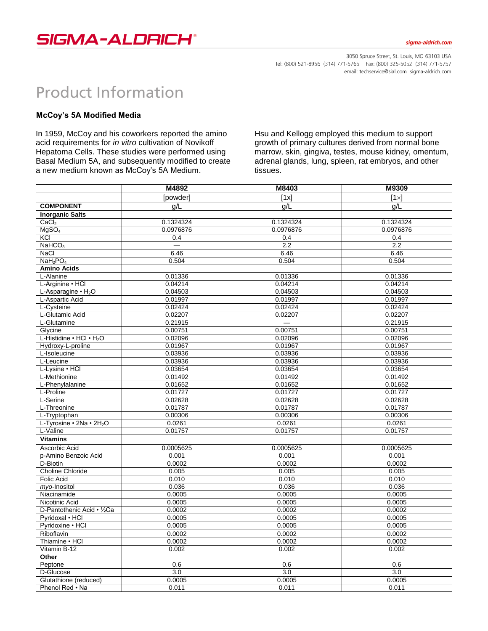

## sigma-aldrich.com

3050 Spruce Street, St. Louis, MO 63103 USA Tel: (800) 521-8956 (314) 771-5765 Fax: (800) 325-5052 (314) 771-5757 email: techservice@sial.com sigma-aldrich.com

## **Product Information**

## **McCoy's 5A Modified Media**

In 1959, McCoy and his coworkers reported the amino acid requirements for *in vitro* cultivation of Novikoff Hepatoma Cells. These studies were performed using Basal Medium 5A, and subsequently modified to create a new medium known as McCoy's 5A Medium.

Hsu and Kellogg employed this medium to support growth of primary cultures derived from normal bone marrow, skin, gingiva, testes, mouse kidney, omentum, adrenal glands, lung, spleen, rat embryos, and other tissues.

|                                       | M4892     | M8403     | M9309        |
|---------------------------------------|-----------|-----------|--------------|
|                                       | [powder]  | [1x]      | $[1 \times]$ |
| <b>COMPONENT</b>                      | g/L       | g/L       | g/L          |
| <b>Inorganic Salts</b>                |           |           |              |
| CaCl <sub>2</sub>                     | 0.1324324 | 0.1324324 | 0.1324324    |
| MqSO <sub>4</sub>                     | 0.0976876 | 0.0976876 | 0.0976876    |
| <b>KCI</b>                            | 0.4       | 0.4       | 0.4          |
| NaHCO <sub>3</sub>                    | $\equiv$  | 2.2       | 2.2          |
| <b>NaCl</b>                           | 6.46      | 6.46      | 6.46         |
| NaH <sub>2</sub> PO <sub>4</sub>      | 0.504     | 0.504     | 0.504        |
| <b>Amino Acids</b>                    |           |           |              |
| L-Alanine                             | 0.01336   | 0.01336   | 0.01336      |
| L-Arginine • HCI                      | 0.04214   | 0.04214   | 0.04214      |
| L-Asparagine $\cdot$ H <sub>2</sub> O | 0.04503   | 0.04503   | 0.04503      |
| L-Aspartic Acid                       | 0.01997   | 0.01997   | 0.01997      |
| L-Cysteine                            | 0.02424   | 0.02424   | 0.02424      |
| L-Glutamic Acid                       | 0.02207   | 0.02207   | 0.02207      |
| L-Glutamine                           | 0.21915   |           | 0.21915      |
| Glycine                               | 0.00751   | 0.00751   | 0.00751      |
| L-Histidine . HCl . H <sub>2</sub> O  | 0.02096   | 0.02096   | 0.02096      |
| Hydroxy-L-proline                     | 0.01967   | 0.01967   | 0.01967      |
| L-Isoleucine                          | 0.03936   | 0.03936   | 0.03936      |
| L-Leucine                             | 0.03936   | 0.03936   | 0.03936      |
| L-Lysine • HCI                        | 0.03654   | 0.03654   | 0.03654      |
| L-Methionine                          | 0.01492   | 0.01492   | 0.01492      |
| L-Phenylalanine                       | 0.01652   | 0.01652   | 0.01652      |
| L-Proline                             | 0.01727   | 0.01727   | 0.01727      |
| L-Serine                              | 0.02628   | 0.02628   | 0.02628      |
| L-Threonine                           | 0.01787   | 0.01787   | 0.01787      |
| L-Tryptophan                          | 0.00306   | 0.00306   | 0.00306      |
| L-Tyrosine • 2Na • 2H <sub>2</sub> O  | 0.0261    | 0.0261    | 0.0261       |
| L-Valine                              | 0.01757   | 0.01757   | 0.01757      |
| <b>Vitamins</b>                       |           |           |              |
| Ascorbic Acid                         | 0.0005625 | 0.0005625 | 0.0005625    |
| p-Amino Benzoic Acid                  | 0.001     | 0.001     | 0.001        |
| D-Biotin                              | 0.0002    | 0.0002    | 0.0002       |
| <b>Choline Chloride</b>               | 0.005     | 0.005     | 0.005        |
| <b>Folic Acid</b>                     | 0.010     | 0.010     | 0.010        |
| myo-Inositol                          | 0.036     | 0.036     | 0.036        |
| Niacinamide                           | 0.0005    | 0.0005    | 0.0005       |
| Nicotinic Acid                        | 0.0005    | 0.0005    | 0.0005       |
| D-Pantothenic Acid • 1/2Ca            | 0.0002    | 0.0002    | 0.0002       |
| Pyridoxal • HCl                       | 0.0005    | 0.0005    | 0.0005       |
| Pyridoxine • HCl                      | 0.0005    | 0.0005    | 0.0005       |
| Riboflavin                            | 0.0002    | 0.0002    | 0.0002       |
| Thiamine • HCI                        | 0.0002    | 0.0002    | 0.0002       |
| Vitamin B-12                          | 0.002     | 0.002     | 0.002        |
| Other                                 |           |           |              |
| Peptone                               | 0.6       | 0.6       | 0.6          |
| D-Glucose                             | 3.0       | 3.0       | 3.0          |
| Glutathione (reduced)                 | 0.0005    | 0.0005    | 0.0005       |
| Phenol Red . Na                       | 0.011     | 0.011     | 0.011        |